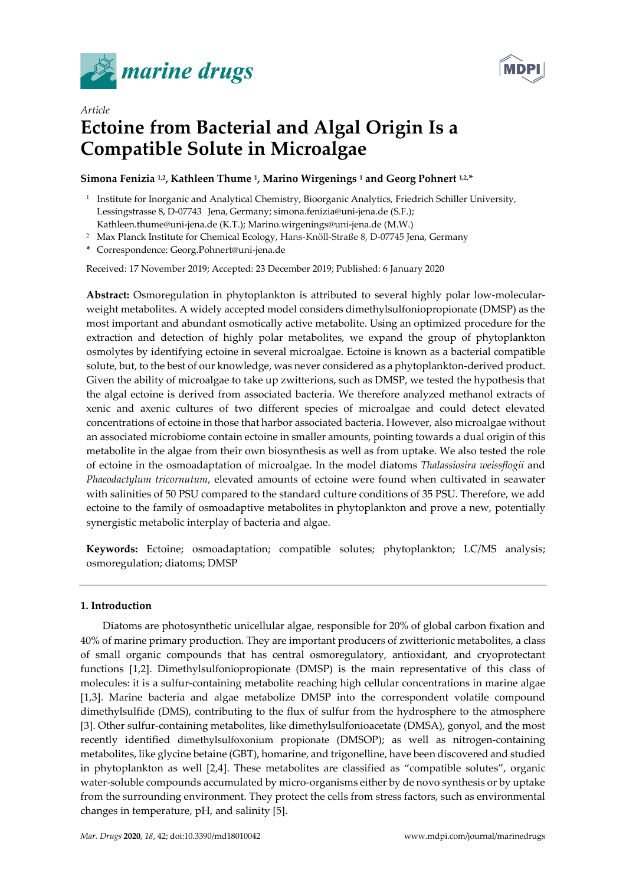



# *Article* **Ectoine from Bacterial and Algal Origin Is a Compatible Solute in Microalgae**

# **Simona Fenizia 1,2, Kathleen Thume 1, Marino Wirgenings 1 and Georg Pohnert 1,2,\***

- <sup>1</sup> Institute for Inorganic and Analytical Chemistry, Bioorganic Analytics, Friedrich Schiller University, Lessingstrasse 8, D-07743 Jena, Germany; simona.fenizia@uni-jena.de (S.F.); Kathleen.thume@uni-jena.de (K.T.); Marino.wirgenings@uni-jena.de (M.W.)
- <sup>2</sup> Max Planck Institute for Chemical Ecology, Hans-Knöll-Straße 8, D-07745 Jena, Germany
- **\*** Correspondence: Georg.Pohnert@uni-jena.de

Received: 17 November 2019; Accepted: 23 December 2019; Published: 6 January 2020

**Abstract:** Osmoregulation in phytoplankton is attributed to several highly polar low-molecularweight metabolites. A widely accepted model considers dimethylsulfoniopropionate (DMSP) as the most important and abundant osmotically active metabolite. Using an optimized procedure for the extraction and detection of highly polar metabolites, we expand the group of phytoplankton osmolytes by identifying ectoine in several microalgae. Ectoine is known as a bacterial compatible solute, but, to the best of our knowledge, was never considered as a phytoplankton-derived product. Given the ability of microalgae to take up zwitterions, such as DMSP, we tested the hypothesis that the algal ectoine is derived from associated bacteria. We therefore analyzed methanol extracts of xenic and axenic cultures of two different species of microalgae and could detect elevated concentrations of ectoine in those that harbor associated bacteria. However, also microalgae without an associated microbiome contain ectoine in smaller amounts, pointing towards a dual origin of this metabolite in the algae from their own biosynthesis as well as from uptake. We also tested the role of ectoine in the osmoadaptation of microalgae. In the model diatoms *Thalassiosira weissflogii* and *Phaeodactylum tricornutum*, elevated amounts of ectoine were found when cultivated in seawater with salinities of 50 PSU compared to the standard culture conditions of 35 PSU. Therefore, we add ectoine to the family of osmoadaptive metabolites in phytoplankton and prove a new, potentially synergistic metabolic interplay of bacteria and algae.

**Keywords:** Ectoine; osmoadaptation; compatible solutes; phytoplankton; LC/MS analysis; osmoregulation; diatoms; DMSP

# **1. Introduction**

Diatoms are photosynthetic unicellular algae, responsible for 20% of global carbon fixation and 40% of marine primary production. They are important producers of zwitterionic metabolites, a class of small organic compounds that has central osmoregulatory, antioxidant, and cryoprotectant functions [1,2]. Dimethylsulfoniopropionate (DMSP) is the main representative of this class of molecules: it is a sulfur-containing metabolite reaching high cellular concentrations in marine algae [1,3]. Marine bacteria and algae metabolize DMSP into the correspondent volatile compound dimethylsulfide (DMS), contributing to the flux of sulfur from the hydrosphere to the atmosphere [3]. Other sulfur-containing metabolites, like dimethylsulfonioacetate (DMSA), gonyol, and the most recently identified dimethylsulfoxonium propionate (DMSOP); as well as nitrogen-containing metabolites, like glycine betaine (GBT), homarine, and trigonelline, have been discovered and studied in phytoplankton as well [2,4]. These metabolites are classified as "compatible solutes", organic water-soluble compounds accumulated by micro-organisms either by de novo synthesis or by uptake from the surrounding environment. They protect the cells from stress factors, such as environmental changes in temperature, pH, and salinity [5].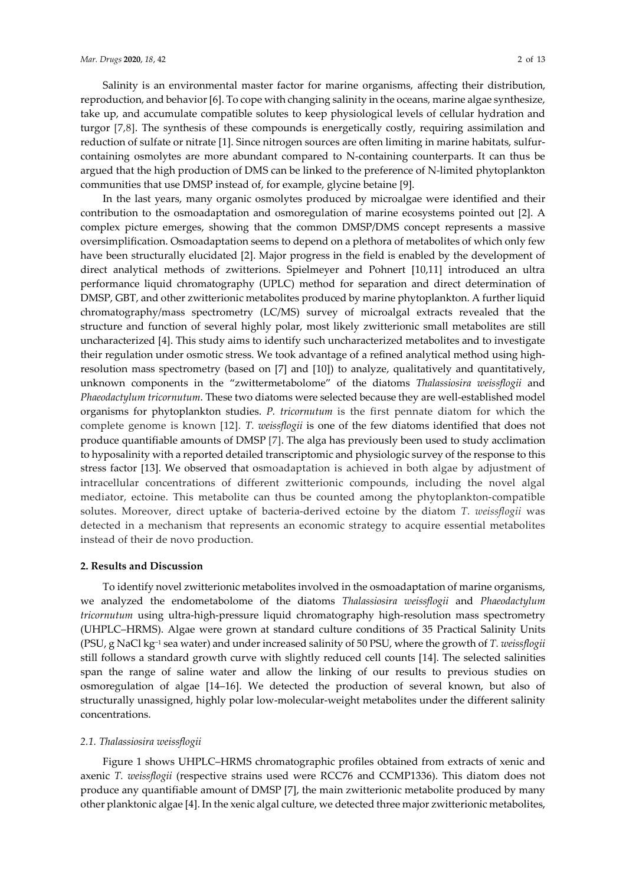Salinity is an environmental master factor for marine organisms, affecting their distribution, reproduction, and behavior [6]. To cope with changing salinity in the oceans, marine algae synthesize, take up, and accumulate compatible solutes to keep physiological levels of cellular hydration and turgor [7,8]. The synthesis of these compounds is energetically costly, requiring assimilation and reduction of sulfate or nitrate [1]. Since nitrogen sources are often limiting in marine habitats, sulfurcontaining osmolytes are more abundant compared to N-containing counterparts. It can thus be argued that the high production of DMS can be linked to the preference of N-limited phytoplankton communities that use DMSP instead of, for example, glycine betaine [9].

In the last years, many organic osmolytes produced by microalgae were identified and their contribution to the osmoadaptation and osmoregulation of marine ecosystems pointed out [2]. A complex picture emerges, showing that the common DMSP/DMS concept represents a massive oversimplification. Osmoadaptation seems to depend on a plethora of metabolites of which only few have been structurally elucidated [2]. Major progress in the field is enabled by the development of direct analytical methods of zwitterions. Spielmeyer and Pohnert [10,11] introduced an ultra performance liquid chromatography (UPLC) method for separation and direct determination of DMSP, GBT, and other zwitterionic metabolites produced by marine phytoplankton. A further liquid chromatography/mass spectrometry (LC/MS) survey of microalgal extracts revealed that the structure and function of several highly polar, most likely zwitterionic small metabolites are still uncharacterized [4]. This study aims to identify such uncharacterized metabolites and to investigate their regulation under osmotic stress. We took advantage of a refined analytical method using highresolution mass spectrometry (based on [7] and [10]) to analyze, qualitatively and quantitatively, unknown components in the "zwittermetabolome" of the diatoms *Thalassiosira weissflogii* and *Phaeodactylum tricornutum*. These two diatoms were selected because they are well-established model organisms for phytoplankton studies. *P. tricornutum* is the first pennate diatom for which the complete genome is known [12]. *T. weissflogii* is one of the few diatoms identified that does not produce quantifiable amounts of DMSP [7]. The alga has previously been used to study acclimation to hyposalinity with a reported detailed transcriptomic and physiologic survey of the response to this stress factor [13]. We observed that osmoadaptation is achieved in both algae by adjustment of intracellular concentrations of different zwitterionic compounds, including the novel algal mediator, ectoine. This metabolite can thus be counted among the phytoplankton-compatible solutes. Moreover, direct uptake of bacteria-derived ectoine by the diatom *T. weissflogii* was detected in a mechanism that represents an economic strategy to acquire essential metabolites instead of their de novo production.

# **2. Results and Discussion**

To identify novel zwitterionic metabolites involved in the osmoadaptation of marine organisms, we analyzed the endometabolome of the diatoms *Thalassiosira weissflogii* and *Phaeodactylum tricornutum* using ultra-high-pressure liquid chromatography high-resolution mass spectrometry (UHPLC–HRMS). Algae were grown at standard culture conditions of 35 Practical Salinity Units (PSU, g NaCl kg−<sup>1</sup> sea water) and under increased salinity of 50 PSU, where the growth of *T. weissflogii* still follows a standard growth curve with slightly reduced cell counts [14]. The selected salinities span the range of saline water and allow the linking of our results to previous studies on osmoregulation of algae [14–16]. We detected the production of several known, but also of structurally unassigned, highly polar low-molecular-weight metabolites under the different salinity concentrations.

# *2.1. Thalassiosira weissflogii*

Figure 1 shows UHPLC–HRMS chromatographic profiles obtained from extracts of xenic and axenic *T. weissflogii* (respective strains used were RCC76 and CCMP1336). This diatom does not produce any quantifiable amount of DMSP [7], the main zwitterionic metabolite produced by many other planktonic algae [4]. In the xenic algal culture, we detected three major zwitterionic metabolites,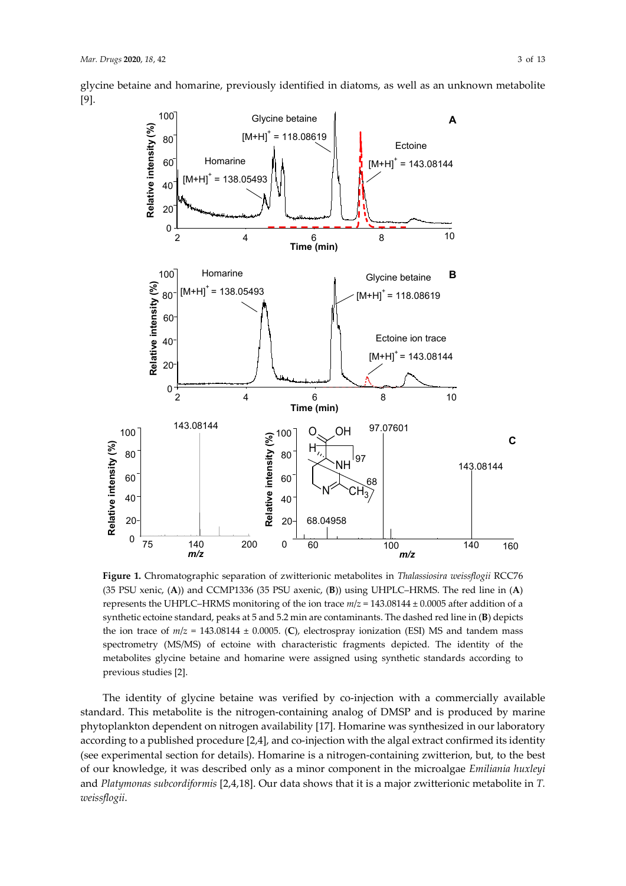glycine betaine and homarine, previously identified in diatoms, as well as an unknown metabolite [9].



**Figure 1.** Chromatographic separation of zwitterionic metabolites in *Thalassiosira weissflogii* RCC76 (35 PSU xenic, (**A**)) and CCMP1336 (35 PSU axenic, (**B**)) using UHPLC–HRMS. The red line in (**A**) represents the UHPLC–HRMS monitoring of the ion trace *m*/*z* = 143.08144 ± 0.0005 after addition of a synthetic ectoine standard, peaks at 5 and 5.2 min are contaminants. The dashed red line in (**B**) depicts the ion trace of  $m/z = 143.08144 \pm 0.0005$ . (C), electrospray ionization (ESI) MS and tandem mass spectrometry (MS/MS) of ectoine with characteristic fragments depicted. The identity of the metabolites glycine betaine and homarine were assigned using synthetic standards according to previous studies [2].

The identity of glycine betaine was verified by co-injection with a commercially available standard. This metabolite is the nitrogen-containing analog of DMSP and is produced by marine phytoplankton dependent on nitrogen availability [17]. Homarine was synthesized in our laboratory according to a published procedure [2,4], and co-injection with the algal extract confirmed its identity (see experimental section for details). Homarine is a nitrogen-containing zwitterion, but, to the best of our knowledge, it was described only as a minor component in the microalgae *Emiliania huxleyi*  and *Platymonas subcordiformis* [2,4,18]. Our data shows that it is a major zwitterionic metabolite in *T. weissflogii*.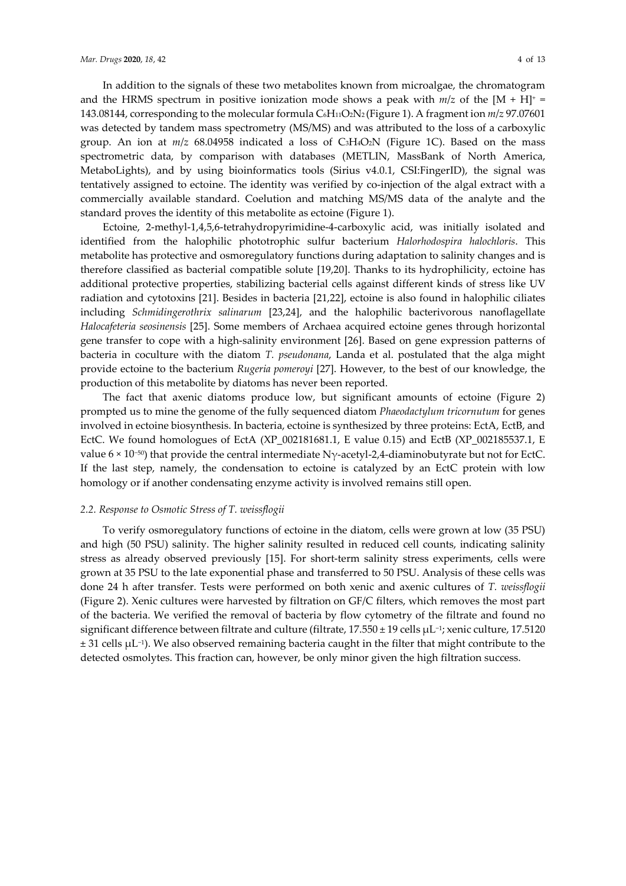In addition to the signals of these two metabolites known from microalgae, the chromatogram and the HRMS spectrum in positive ionization mode shows a peak with  $m/z$  of the  $[M + H]$ <sup>+</sup> 143.08144, corresponding to the molecular formula C6H11O2N2 (Figure 1). A fragment ion *m*/*z* 97.07601 was detected by tandem mass spectrometry (MS/MS) and was attributed to the loss of a carboxylic group. An ion at *m*/*z* 68.04958 indicated a loss of C3H4O2N (Figure 1C). Based on the mass spectrometric data, by comparison with databases (METLIN, MassBank of North America, MetaboLights), and by using bioinformatics tools (Sirius v4.0.1, CSI:FingerID), the signal was tentatively assigned to ectoine. The identity was verified by co-injection of the algal extract with a commercially available standard. Coelution and matching MS/MS data of the analyte and the standard proves the identity of this metabolite as ectoine (Figure 1).

Ectoine, 2-methyl-1,4,5,6-tetrahydropyrimidine-4-carboxylic acid, was initially isolated and identified from the halophilic phototrophic sulfur bacterium *Halorhodospira halochloris*. This metabolite has protective and osmoregulatory functions during adaptation to salinity changes and is therefore classified as bacterial compatible solute [19,20]. Thanks to its hydrophilicity, ectoine has additional protective properties, stabilizing bacterial cells against different kinds of stress like UV radiation and cytotoxins [21]. Besides in bacteria [21,22], ectoine is also found in halophilic ciliates including *Schmidingerothrix salinarum* [23,24], and the halophilic bacterivorous nanoflagellate *Halocafeteria seosinensis* [25]. Some members of Archaea acquired ectoine genes through horizontal gene transfer to cope with a high-salinity environment [26]. Based on gene expression patterns of bacteria in coculture with the diatom *T. pseudonana*, Landa et al. postulated that the alga might provide ectoine to the bacterium *Rugeria pomeroyi* [27]. However, to the best of our knowledge, the production of this metabolite by diatoms has never been reported.

The fact that axenic diatoms produce low, but significant amounts of ectoine (Figure 2) prompted us to mine the genome of the fully sequenced diatom *Phaeodactylum tricornutum* for genes involved in ectoine biosynthesis. In bacteria, ectoine is synthesized by three proteins: EctA, EctB, and EctC. We found homologues of EctA (XP\_002181681.1, E value 0.15) and EctB (XP\_002185537.1, E value 6 × 10−50) that provide the central intermediate Nγ-acetyl-2,4-diaminobutyrate but not for EctC. If the last step, namely, the condensation to ectoine is catalyzed by an EctC protein with low homology or if another condensating enzyme activity is involved remains still open.

# *2.2. Response to Osmotic Stress of T. weissflogii*

To verify osmoregulatory functions of ectoine in the diatom, cells were grown at low (35 PSU) and high (50 PSU) salinity. The higher salinity resulted in reduced cell counts, indicating salinity stress as already observed previously [15]. For short-term salinity stress experiments, cells were grown at 35 PSU to the late exponential phase and transferred to 50 PSU. Analysis of these cells was done 24 h after transfer. Tests were performed on both xenic and axenic cultures of *T. weissflogii* (Figure 2). Xenic cultures were harvested by filtration on GF/C filters, which removes the most part of the bacteria. We verified the removal of bacteria by flow cytometry of the filtrate and found no significant difference between filtrate and culture (filtrate, 17.550 ± 19 cells µL−1; xenic culture, 17.5120  $± 31$  cells  $µL<sup>-1</sup>$ ). We also observed remaining bacteria caught in the filter that might contribute to the detected osmolytes. This fraction can, however, be only minor given the high filtration success.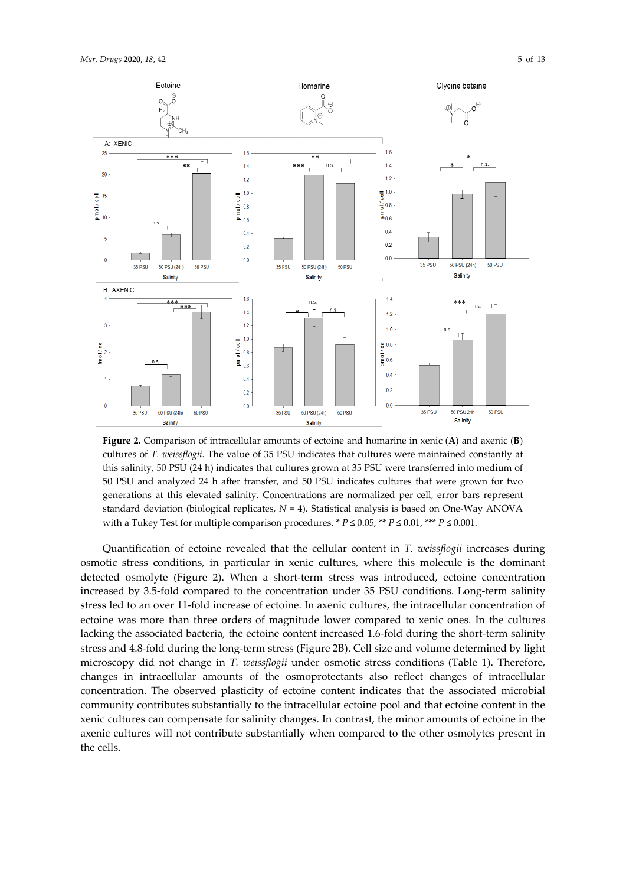

**Figure 2.** Comparison of intracellular amounts of ectoine and homarine in xenic (**A**) and axenic (**B**) cultures of *T. weissflogii*. The value of 35 PSU indicates that cultures were maintained constantly at this salinity, 50 PSU (24 h) indicates that cultures grown at 35 PSU were transferred into medium of 50 PSU and analyzed 24 h after transfer, and 50 PSU indicates cultures that were grown for two generations at this elevated salinity. Concentrations are normalized per cell, error bars represent standard deviation (biological replicates, *N* = 4). Statistical analysis is based on One-Way ANOVA with a Tukey Test for multiple comparison procedures. \*  $P \le 0.05$ , \*\*  $P \le 0.01$ , \*\*\*  $P \le 0.001$ .

Quantification of ectoine revealed that the cellular content in *T. weissflogii* increases during osmotic stress conditions, in particular in xenic cultures, where this molecule is the dominant detected osmolyte (Figure 2). When a short-term stress was introduced, ectoine concentration increased by 3.5-fold compared to the concentration under 35 PSU conditions. Long-term salinity stress led to an over 11-fold increase of ectoine. In axenic cultures, the intracellular concentration of ectoine was more than three orders of magnitude lower compared to xenic ones. In the cultures lacking the associated bacteria, the ectoine content increased 1.6-fold during the short-term salinity stress and 4.8-fold during the long-term stress (Figure 2B). Cell size and volume determined by light microscopy did not change in *T. weissflogii* under osmotic stress conditions (Table 1). Therefore, changes in intracellular amounts of the osmoprotectants also reflect changes of intracellular concentration. The observed plasticity of ectoine content indicates that the associated microbial community contributes substantially to the intracellular ectoine pool and that ectoine content in the xenic cultures can compensate for salinity changes. In contrast, the minor amounts of ectoine in the axenic cultures will not contribute substantially when compared to the other osmolytes present in the cells.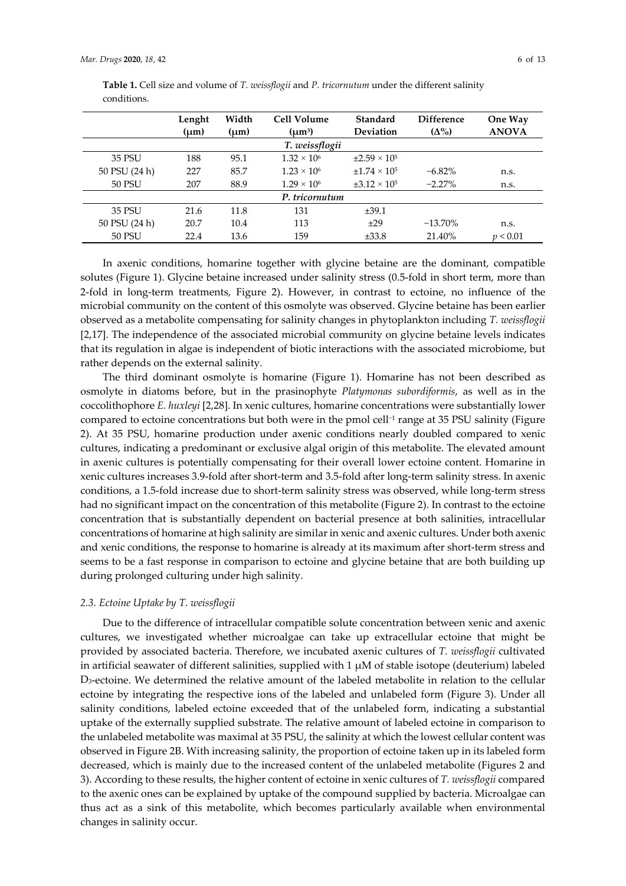|                | Lenght<br>(um) | Width<br>$(\mu m)$ | <b>Cell Volume</b><br>$(\mu m^3)$ | Standard<br><b>Deviation</b> | <b>Difference</b><br>$(\Delta\%)$ | One Way<br><b>ANOVA</b> |  |  |  |  |
|----------------|----------------|--------------------|-----------------------------------|------------------------------|-----------------------------------|-------------------------|--|--|--|--|
| T. weissflogii |                |                    |                                   |                              |                                   |                         |  |  |  |  |
| 35 PSU         | 188            | 95.1               | $1.32 \times 10^{6}$              | $±2.59 \times 10^{5}$        |                                   |                         |  |  |  |  |
| 50 PSU (24 h)  | 227            | 85.7               | $1.23 \times 10^{6}$              | $\pm 1.74 \times 10^5$       | $-6.82\%$                         | n.s.                    |  |  |  |  |
| <b>50 PSU</b>  | 207            | 88.9               | $1.29 \times 10^{6}$              | $\pm 3.12 \times 10^5$       | $-2.27\%$                         | n.s.                    |  |  |  |  |
| P. tricornutum |                |                    |                                   |                              |                                   |                         |  |  |  |  |
| 35 PSU         | 21.6           | 11.8               | 131                               | $\pm 39.1$                   |                                   |                         |  |  |  |  |
| 50 PSU (24 h)  | 20.7           | 10.4               | 113                               | ±29                          | $-13.70\%$                        | n.s.                    |  |  |  |  |
| <b>50 PSU</b>  | 22.4           | 13.6               | 159                               | ±33.8                        | 21.40%                            | p < 0.01                |  |  |  |  |

**Table 1.** Cell size and volume of *T. weissflogii* and *P. tricornutum* under the different salinity conditions.

In axenic conditions, homarine together with glycine betaine are the dominant, compatible solutes (Figure 1). Glycine betaine increased under salinity stress (0.5-fold in short term, more than 2-fold in long-term treatments, Figure 2). However, in contrast to ectoine, no influence of the microbial community on the content of this osmolyte was observed. Glycine betaine has been earlier observed as a metabolite compensating for salinity changes in phytoplankton including *T. weissflogii* [2,17]. The independence of the associated microbial community on glycine betaine levels indicates that its regulation in algae is independent of biotic interactions with the associated microbiome, but rather depends on the external salinity.

The third dominant osmolyte is homarine (Figure 1). Homarine has not been described as osmolyte in diatoms before, but in the prasinophyte *Platymonas subordiformis*, as well as in the coccolithophore *E. huxleyi* [2,28]. In xenic cultures, homarine concentrations were substantially lower compared to ectoine concentrations but both were in the pmol cell−<sup>1</sup> range at 35 PSU salinity (Figure 2). At 35 PSU, homarine production under axenic conditions nearly doubled compared to xenic cultures, indicating a predominant or exclusive algal origin of this metabolite. The elevated amount in axenic cultures is potentially compensating for their overall lower ectoine content. Homarine in xenic cultures increases 3.9-fold after short-term and 3.5-fold after long-term salinity stress. In axenic conditions, a 1.5-fold increase due to short-term salinity stress was observed, while long-term stress had no significant impact on the concentration of this metabolite (Figure 2). In contrast to the ectoine concentration that is substantially dependent on bacterial presence at both salinities, intracellular concentrations of homarine at high salinity are similar in xenic and axenic cultures. Under both axenic and xenic conditions, the response to homarine is already at its maximum after short-term stress and seems to be a fast response in comparison to ectoine and glycine betaine that are both building up during prolonged culturing under high salinity.

# *2.3. Ectoine Uptake by T. weissflogii*

Due to the difference of intracellular compatible solute concentration between xenic and axenic cultures, we investigated whether microalgae can take up extracellular ectoine that might be provided by associated bacteria. Therefore, we incubated axenic cultures of *T. weissflogii* cultivated in artificial seawater of different salinities, supplied with  $1 \mu M$  of stable isotope (deuterium) labeled D3-ectoine. We determined the relative amount of the labeled metabolite in relation to the cellular ectoine by integrating the respective ions of the labeled and unlabeled form (Figure 3). Under all salinity conditions, labeled ectoine exceeded that of the unlabeled form, indicating a substantial uptake of the externally supplied substrate. The relative amount of labeled ectoine in comparison to the unlabeled metabolite was maximal at 35 PSU, the salinity at which the lowest cellular content was observed in Figure 2B. With increasing salinity, the proportion of ectoine taken up in its labeled form decreased, which is mainly due to the increased content of the unlabeled metabolite (Figures 2 and 3). According to these results, the higher content of ectoine in xenic cultures of *T. weissflogii* compared to the axenic ones can be explained by uptake of the compound supplied by bacteria. Microalgae can thus act as a sink of this metabolite, which becomes particularly available when environmental changes in salinity occur.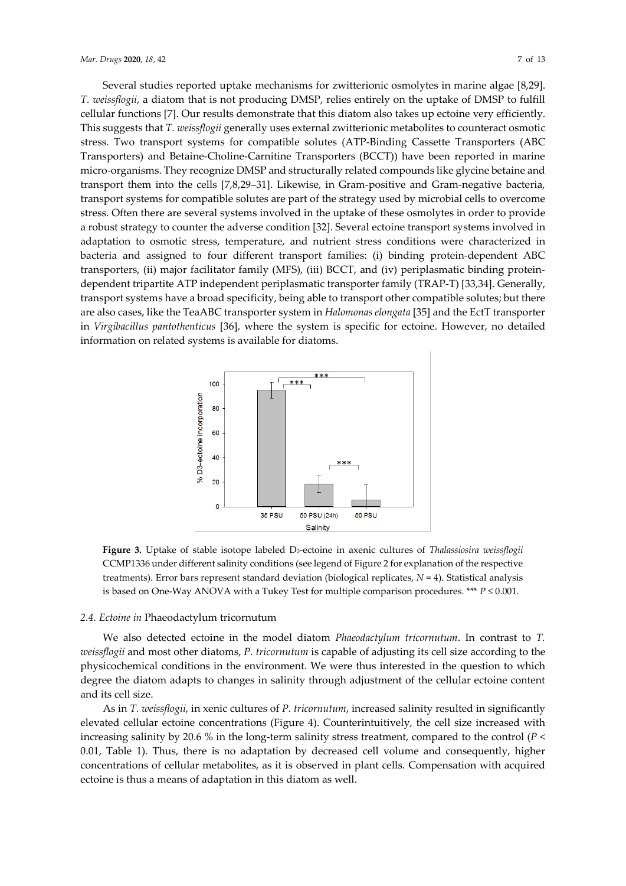Several studies reported uptake mechanisms for zwitterionic osmolytes in marine algae [8,29]. *T. weissflogii*, a diatom that is not producing DMSP, relies entirely on the uptake of DMSP to fulfill cellular functions [7]. Our results demonstrate that this diatom also takes up ectoine very efficiently. This suggests that *T. weissflogii* generally uses external zwitterionic metabolites to counteract osmotic stress. Two transport systems for compatible solutes (ATP-Binding Cassette Transporters (ABC Transporters) and Betaine-Choline-Carnitine Transporters (BCCT)) have been reported in marine micro-organisms. They recognize DMSP and structurally related compounds like glycine betaine and transport them into the cells [7,8,29–31]. Likewise, in Gram-positive and Gram-negative bacteria, transport systems for compatible solutes are part of the strategy used by microbial cells to overcome stress. Often there are several systems involved in the uptake of these osmolytes in order to provide a robust strategy to counter the adverse condition [32]. Several ectoine transport systems involved in adaptation to osmotic stress, temperature, and nutrient stress conditions were characterized in bacteria and assigned to four different transport families: (i) binding protein-dependent ABC transporters, (ii) major facilitator family (MFS), (iii) BCCT, and (iv) periplasmatic binding proteindependent tripartite ATP independent periplasmatic transporter family (TRAP-T) [33,34]. Generally, transport systems have a broad specificity, being able to transport other compatible solutes; but there are also cases, like the TeaABC transporter system in *Halomonas elongata* [35] and the EctT transporter in *Virgibacillus pantothenticus* [36], where the system is specific for ectoine. However, no detailed information on related systems is available for diatoms.



**Figure 3.** Uptake of stable isotope labeled D3-ectoine in axenic cultures of *Thalassiosira weissflogii*  CCMP1336 under different salinity conditions (see legend of Figure 2 for explanation of the respective treatments). Error bars represent standard deviation (biological replicates, *N* = 4). Statistical analysis is based on One-Way ANOVA with a Tukey Test for multiple comparison procedures. \*\*\*  $P \le 0.001$ .

# *2.4. Ectoine in* Phaeodactylum tricornutum

We also detected ectoine in the model diatom *Phaeodactylum tricornutum*. In contrast to *T. weissflogii* and most other diatoms, *P. tricornutum* is capable of adjusting its cell size according to the physicochemical conditions in the environment. We were thus interested in the question to which degree the diatom adapts to changes in salinity through adjustment of the cellular ectoine content and its cell size.

As in *T. weissflogii*, in xenic cultures of *P. tricornutum*, increased salinity resulted in significantly elevated cellular ectoine concentrations (Figure 4). Counterintuitively, the cell size increased with increasing salinity by 20.6 % in the long-term salinity stress treatment, compared to the control (*P* < 0.01, Table 1). Thus, there is no adaptation by decreased cell volume and consequently, higher concentrations of cellular metabolites, as it is observed in plant cells. Compensation with acquired ectoine is thus a means of adaptation in this diatom as well.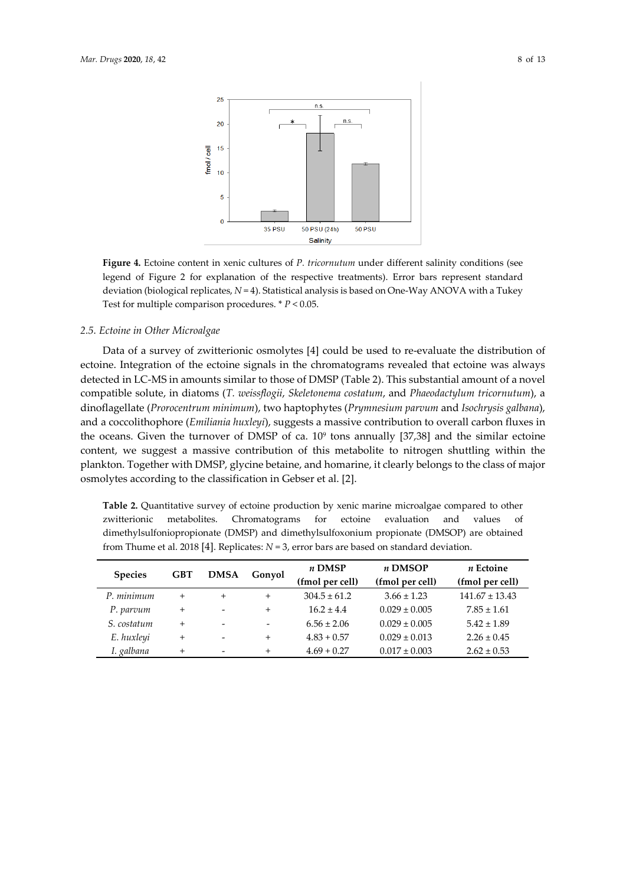

**Figure 4.** Ectoine content in xenic cultures of *P. tricornutum* under different salinity conditions (see legend of Figure 2 for explanation of the respective treatments). Error bars represent standard deviation (biological replicates, *N* = 4). Statistical analysis is based on One-Way ANOVA with a Tukey Test for multiple comparison procedures. \* *P* < 0.05.

### *2.5. Ectoine in Other Microalgae*

Data of a survey of zwitterionic osmolytes [4] could be used to re-evaluate the distribution of ectoine. Integration of the ectoine signals in the chromatograms revealed that ectoine was always detected in LC-MS in amounts similar to those of DMSP (Table 2). This substantial amount of a novel compatible solute, in diatoms (*T. weissflogii*, *Skeletonema costatum*, and *Phaeodactylum tricornutum*), a dinoflagellate (*Prorocentrum minimum*), two haptophytes (*Prymnesium parvum* and *Isochrysis galbana*), and a coccolithophore (*Emiliania huxleyi*), suggests a massive contribution to overall carbon fluxes in the oceans. Given the turnover of DMSP of ca.  $10^9$  tons annually [37,38] and the similar ectoine content, we suggest a massive contribution of this metabolite to nitrogen shuttling within the plankton. Together with DMSP, glycine betaine, and homarine, it clearly belongs to the class of major osmolytes according to the classification in Gebser et al. [2].

**Table 2.** Quantitative survey of ectoine production by xenic marine microalgae compared to other zwitterionic metabolites. Chromatograms for ectoine evaluation and values of dimethylsulfoniopropionate (DMSP) and dimethylsulfoxonium propionate (DMSOP) are obtained from Thume et al. 2018 [4]. Replicates: *N* = 3, error bars are based on standard deviation.

| <b>Species</b> | GBT    | <b>DMSA</b> | Gonyol | $n$ DMSP         | n DMSOP           | $n$ Ectoine        |
|----------------|--------|-------------|--------|------------------|-------------------|--------------------|
|                |        |             |        | (fmol per cell)  | (fmol per cell)   | (fmol per cell)    |
| P. minimum     | $^{+}$ | $^{+}$      | $+$    | $304.5 \pm 61.2$ | $3.66 \pm 1.23$   | $141.67 \pm 13.43$ |
| P. parvum      | $+$    | -           | $^{+}$ | $16.2 \pm 4.4$   | $0.029 \pm 0.005$ | $7.85 \pm 1.61$    |
| S. costatum    | $^{+}$ |             |        | $6.56 \pm 2.06$  | $0.029 \pm 0.005$ | $5.42 \pm 1.89$    |
| E. huxleyi     | $+$    |             | $^{+}$ | $4.83 + 0.57$    | $0.029 \pm 0.013$ | $2.26 \pm 0.45$    |
| I. galbana     | $+$    |             | $^{+}$ | $4.69 + 0.27$    | $0.017 \pm 0.003$ | $2.62 \pm 0.53$    |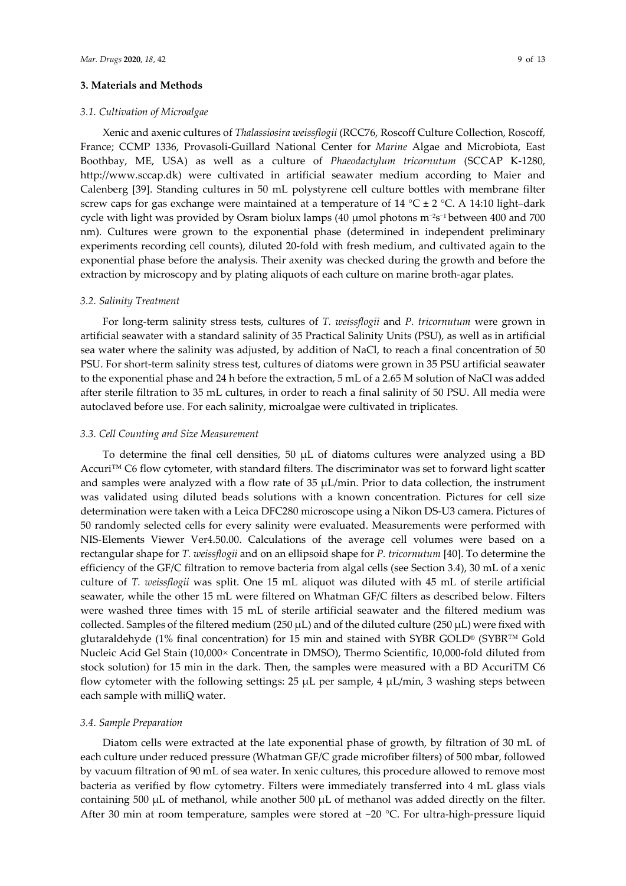# **3. Materials and Methods**

# *3.1. Cultivation of Microalgae*

Xenic and axenic cultures of *Thalassiosira weissflogii* (RCC76, Roscoff Culture Collection, Roscoff, France; CCMP 1336, Provasoli-Guillard National Center for *Marine* Algae and Microbiota, East Boothbay, ME, USA) as well as a culture of *Phaeodactylum tricornutum* (SCCAP K-1280, http://www.sccap.dk) were cultivated in artificial seawater medium according to Maier and Calenberg [39]. Standing cultures in 50 mL polystyrene cell culture bottles with membrane filter screw caps for gas exchange were maintained at a temperature of 14  $^{\circ}$ C  $\pm$  2  $^{\circ}$ C. A 14:10 light–dark cycle with light was provided by Osram biolux lamps (40 µmol photons m−2s−1 between 400 and 700 nm). Cultures were grown to the exponential phase (determined in independent preliminary experiments recording cell counts), diluted 20-fold with fresh medium, and cultivated again to the exponential phase before the analysis. Their axenity was checked during the growth and before the extraction by microscopy and by plating aliquots of each culture on marine broth-agar plates.

#### *3.2. Salinity Treatment*

For long-term salinity stress tests, cultures of *T. weissflogii* and *P. tricornutum* were grown in artificial seawater with a standard salinity of 35 Practical Salinity Units (PSU), as well as in artificial sea water where the salinity was adjusted, by addition of NaCl, to reach a final concentration of 50 PSU. For short-term salinity stress test, cultures of diatoms were grown in 35 PSU artificial seawater to the exponential phase and 24 h before the extraction, 5 mL of a 2.65 M solution of NaCl was added after sterile filtration to 35 mL cultures, in order to reach a final salinity of 50 PSU. All media were autoclaved before use. For each salinity, microalgae were cultivated in triplicates.

#### *3.3. Cell Counting and Size Measurement*

To determine the final cell densities, 50  $\mu$ L of diatoms cultures were analyzed using a BD Accuri™ C6 flow cytometer, with standard filters. The discriminator was set to forward light scatter and samples were analyzed with a flow rate of  $35 \mu L/min$ . Prior to data collection, the instrument was validated using diluted beads solutions with a known concentration. Pictures for cell size determination were taken with a Leica DFC280 microscope using a Nikon DS-U3 camera. Pictures of 50 randomly selected cells for every salinity were evaluated. Measurements were performed with NIS-Elements Viewer Ver4.50.00. Calculations of the average cell volumes were based on a rectangular shape for *T. weissflogii* and on an ellipsoid shape for *P. tricornutum* [40]. To determine the efficiency of the GF/C filtration to remove bacteria from algal cells (see Section 3.4), 30 mL of a xenic culture of *T. weissflogii* was split. One 15 mL aliquot was diluted with 45 mL of sterile artificial seawater, while the other 15 mL were filtered on Whatman GF/C filters as described below. Filters were washed three times with 15 mL of sterile artificial seawater and the filtered medium was collected. Samples of the filtered medium (250  $\mu$ L) and of the diluted culture (250  $\mu$ L) were fixed with glutaraldehyde (1% final concentration) for 15 min and stained with SYBR GOLD® (SYBR™ Gold Nucleic Acid Gel Stain (10,000× Concentrate in DMSO), Thermo Scientific, 10,000-fold diluted from stock solution) for 15 min in the dark. Then, the samples were measured with a BD AccuriTM C6 flow cytometer with the following settings:  $25 \mu L$  per sample, 4  $\mu L/min$ , 3 washing steps between each sample with milliQ water.

# *3.4. Sample Preparation*

Diatom cells were extracted at the late exponential phase of growth, by filtration of 30 mL of each culture under reduced pressure (Whatman GF/C grade microfiber filters) of 500 mbar, followed by vacuum filtration of 90 mL of sea water. In xenic cultures, this procedure allowed to remove most bacteria as verified by flow cytometry. Filters were immediately transferred into 4 mL glass vials containing 500  $\mu$ L of methanol, while another 500  $\mu$ L of methanol was added directly on the filter. After 30 min at room temperature, samples were stored at −20 °C. For ultra-high-pressure liquid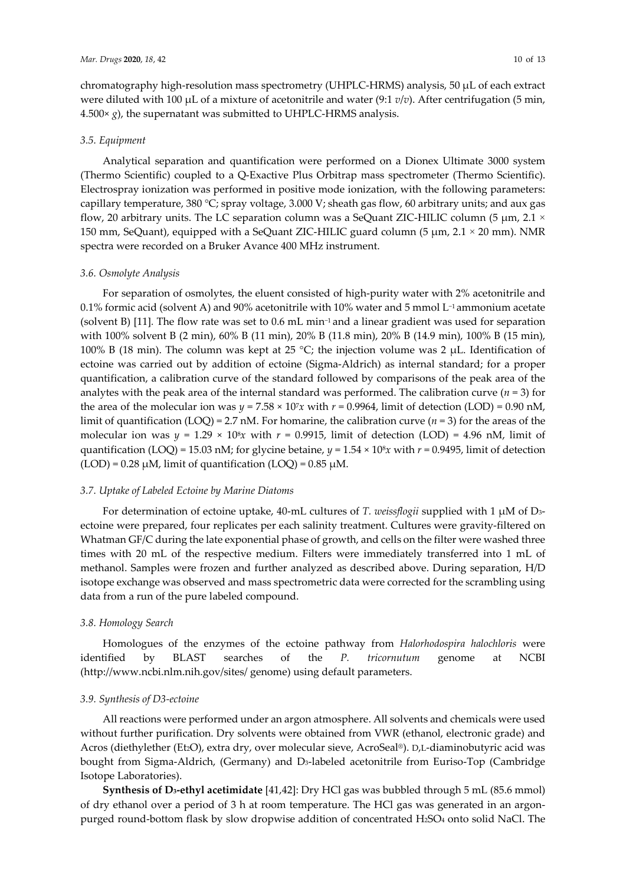chromatography high-resolution mass spectrometry (UHPLC-HRMS) analysis, 50 µL of each extract were diluted with 100  $\mu$ L of a mixture of acetonitrile and water (9:1  $v/v$ ). After centrifugation (5 min,  $4.500 \times g$ , the supernatant was submitted to UHPLC-HRMS analysis.

## *3.5. Equipment*

Analytical separation and quantification were performed on a Dionex Ultimate 3000 system (Thermo Scientific) coupled to a Q-Exactive Plus Orbitrap mass spectrometer (Thermo Scientific). Electrospray ionization was performed in positive mode ionization, with the following parameters: capillary temperature, 380 °C; spray voltage, 3.000 V; sheath gas flow, 60 arbitrary units; and aux gas flow, 20 arbitrary units. The LC separation column was a SeQuant ZIC-HILIC column (5  $\mu$ m, 2.1  $\times$ 150 mm, SeQuant), equipped with a SeQuant ZIC-HILIC guard column (5  $\mu$ m, 2.1 × 20 mm). NMR spectra were recorded on a Bruker Avance 400 MHz instrument.

#### *3.6. Osmolyte Analysis*

For separation of osmolytes, the eluent consisted of high-purity water with 2% acetonitrile and 0.1% formic acid (solvent A) and 90% acetonitrile with 10% water and 5 mmol L−1 ammonium acetate (solvent B) [11]*.* The flow rate was set to 0.6 mL min−1 and a linear gradient was used for separation with 100% solvent B (2 min), 60% B (11 min), 20% B (11.8 min), 20% B (14.9 min), 100% B (15 min), 100% B (18 min). The column was kept at 25 °C; the injection volume was 2  $\mu$ L. Identification of ectoine was carried out by addition of ectoine (Sigma-Aldrich) as internal standard; for a proper quantification, a calibration curve of the standard followed by comparisons of the peak area of the analytes with the peak area of the internal standard was performed. The calibration curve  $(n = 3)$  for the area of the molecular ion was  $y = 7.58 \times 10^7 x$  with  $r = 0.9964$ , limit of detection (LOD) = 0.90 nM, limit of quantification (LOQ) = 2.7 nM. For homarine, the calibration curve (*n* = 3) for the areas of the molecular ion was  $y = 1.29 \times 10^8 x$  with  $r = 0.9915$ , limit of detection (LOD) = 4.96 nM, limit of quantification (LOQ) = 15.03 nM; for glycine betaine,  $y = 1.54 \times 10^8 x$  with  $r = 0.9495$ , limit of detection  $(LOD) = 0.28 \mu M$ , limit of quantification  $(LOQ) = 0.85 \mu M$ .

## *3.7. Uptake of Labeled Ectoine by Marine Diatoms*

For determination of ectoine uptake, 40-mL cultures of *T. weissflogii* supplied with 1 µM of D3 ectoine were prepared, four replicates per each salinity treatment. Cultures were gravity-filtered on Whatman GF/C during the late exponential phase of growth, and cells on the filter were washed three times with 20 mL of the respective medium. Filters were immediately transferred into 1 mL of methanol. Samples were frozen and further analyzed as described above. During separation, H/D isotope exchange was observed and mass spectrometric data were corrected for the scrambling using data from a run of the pure labeled compound.

## *3.8. Homology Search*

Homologues of the enzymes of the ectoine pathway from *Halorhodospira halochloris* were identified by BLAST searches of the *P. tricornutum* genome at NCBI (http://www.ncbi.nlm.nih.gov/sites/ genome) using default parameters.

# *3.9. Synthesis of D3-ectoine*

All reactions were performed under an argon atmosphere. All solvents and chemicals were used without further purification. Dry solvents were obtained from VWR (ethanol, electronic grade) and Acros (diethylether (Et2O), extra dry, over molecular sieve, AcroSeal®). D,L-diaminobutyric acid was bought from Sigma-Aldrich, (Germany) and D<sub>3</sub>-labeled acetonitrile from Euriso-Top (Cambridge Isotope Laboratories).

**Synthesis of D3-ethyl acetimidate** [41,42]: Dry HCl gas was bubbled through 5 mL (85.6 mmol) of dry ethanol over a period of 3 h at room temperature. The HCl gas was generated in an argonpurged round-bottom flask by slow dropwise addition of concentrated H2SO4 onto solid NaCl. The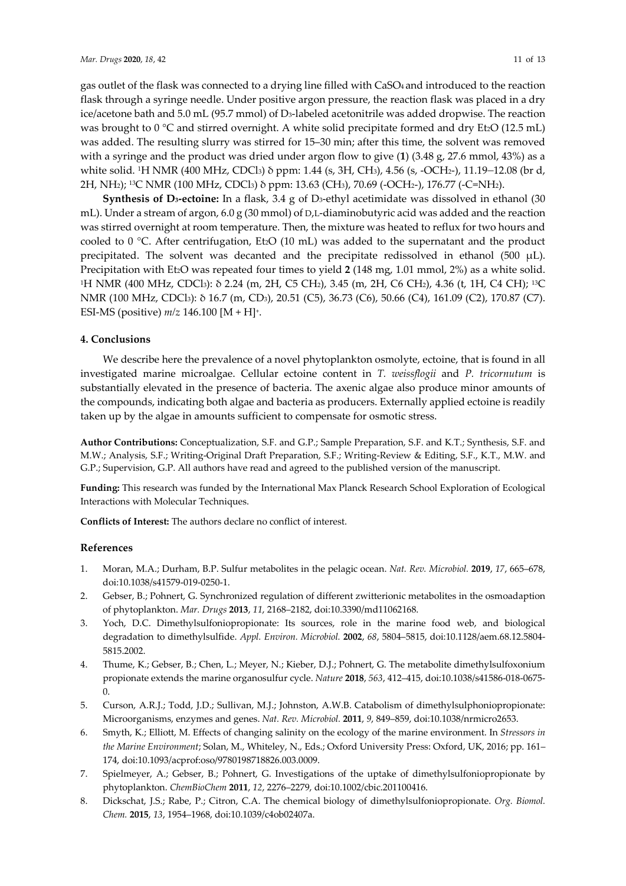gas outlet of the flask was connected to a drying line filled with CaSO4 and introduced to the reaction flask through a syringe needle. Under positive argon pressure, the reaction flask was placed in a dry ice/acetone bath and 5.0 mL (95.7 mmol) of D3-labeled acetonitrile was added dropwise. The reaction was brought to  $0^{\circ}$ C and stirred overnight. A white solid precipitate formed and dry Et<sub>2</sub>O (12.5 mL) was added. The resulting slurry was stirred for 15–30 min; after this time, the solvent was removed with a syringe and the product was dried under argon flow to give (**1**) (3.48 g, 27.6 mmol, 43%) as a white solid. 1H NMR (400 MHz, CDCl3) δ ppm: 1.44 (s, 3H, CH3), 4.56 (s, -OCH2-), 11.19–12.08 (br d, 2H, NH2); 13C NMR (100 MHz, CDCl3) δ ppm: 13.63 (CH3), 70.69 (-OCH2-), 176.77 (-C=NH2).

**Synthesis of D3-ectoine:** In a flask, 3.4 g of D3-ethyl acetimidate was dissolved in ethanol (30 mL). Under a stream of argon, 6.0 g (30 mmol) of D,L-diaminobutyric acid was added and the reaction was stirred overnight at room temperature. Then, the mixture was heated to reflux for two hours and cooled to  $0^{\circ}$ C. After centrifugation, Et<sub>2</sub>O (10 mL) was added to the supernatant and the product precipitated. The solvent was decanted and the precipitate redissolved in ethanol (500  $\mu$ L). Precipitation with Et<sub>2</sub>O was repeated four times to yield 2 (148 mg, 1.01 mmol, 2%) as a white solid. <sup>1</sup>H NMR (400 MHz, CDCl<sub>3</sub>): δ 2.24 (m, 2H, C5 CH<sub>2</sub>), 3.45 (m, 2H, C6 CH<sub>2</sub>), 4.36 (t, 1H, C4 CH); <sup>13</sup>C NMR (100 MHz, CDCl3): δ 16.7 (m, CD3), 20.51 (C5), 36.73 (C6), 50.66 (C4), 161.09 (C2), 170.87 (C7). ESI-MS (positive)  $m/z$  146.100 [M + H]<sup>+</sup>.

# **4. Conclusions**

We describe here the prevalence of a novel phytoplankton osmolyte, ectoine, that is found in all investigated marine microalgae. Cellular ectoine content in *T. weissflogii* and *P. tricornutum* is substantially elevated in the presence of bacteria. The axenic algae also produce minor amounts of the compounds, indicating both algae and bacteria as producers. Externally applied ectoine is readily taken up by the algae in amounts sufficient to compensate for osmotic stress.

**Author Contributions:** Conceptualization, S.F. and G.P.; Sample Preparation, S.F. and K.T.; Synthesis, S.F. and M.W.; Analysis, S.F.; Writing-Original Draft Preparation, S.F.; Writing-Review & Editing, S.F., K.T., M.W. and G.P.; Supervision, G.P. All authors have read and agreed to the published version of the manuscript.

**Funding:** This research was funded by the International Max Planck Research School Exploration of Ecological Interactions with Molecular Techniques.

**Conflicts of Interest:** The authors declare no conflict of interest.

## **References**

- 1. Moran, M.A.; Durham, B.P. Sulfur metabolites in the pelagic ocean. *Nat. Rev. Microbiol.* **2019**, *17*, 665–678, doi:10.1038/s41579-019-0250-1.
- 2. Gebser, B.; Pohnert, G. Synchronized regulation of different zwitterionic metabolites in the osmoadaption of phytoplankton. *Mar. Drugs* **2013**, *11*, 2168–2182, doi:10.3390/md11062168.
- 3. Yoch, D.C. Dimethylsulfoniopropionate: Its sources, role in the marine food web, and biological degradation to dimethylsulfide. *Appl. Environ. Microbiol.* **2002**, *68*, 5804–5815, doi:10.1128/aem.68.12.5804- 5815.2002.
- 4. Thume, K.; Gebser, B.; Chen, L.; Meyer, N.; Kieber, D.J.; Pohnert, G. The metabolite dimethylsulfoxonium propionate extends the marine organosulfur cycle. *Nature* **2018**, *563*, 412–415, doi:10.1038/s41586-018-0675- 0.
- 5. Curson, A.R.J.; Todd, J.D.; Sullivan, M.J.; Johnston, A.W.B. Catabolism of dimethylsulphoniopropionate: Microorganisms, enzymes and genes. *Nat. Rev. Microbiol.* **2011**, *9*, 849–859, doi:10.1038/nrmicro2653.
- 6. Smyth, K.; Elliott, M. Effects of changing salinity on the ecology of the marine environment. In *Stressors in the Marine Environment*; Solan, M., Whiteley, N., Eds.; Oxford University Press: Oxford, UK, 2016; pp. 161– 174, doi:10.1093/acprof:oso/9780198718826.003.0009.
- 7. Spielmeyer, A.; Gebser, B.; Pohnert, G. Investigations of the uptake of dimethylsulfoniopropionate by phytoplankton. *ChemBioChem* **2011**, *12*, 2276–2279, doi:10.1002/cbic.201100416.
- 8. Dickschat, J.S.; Rabe, P.; Citron, C.A. The chemical biology of dimethylsulfoniopropionate. *Org. Biomol. Chem.* **2015**, *13*, 1954–1968, doi:10.1039/c4ob02407a.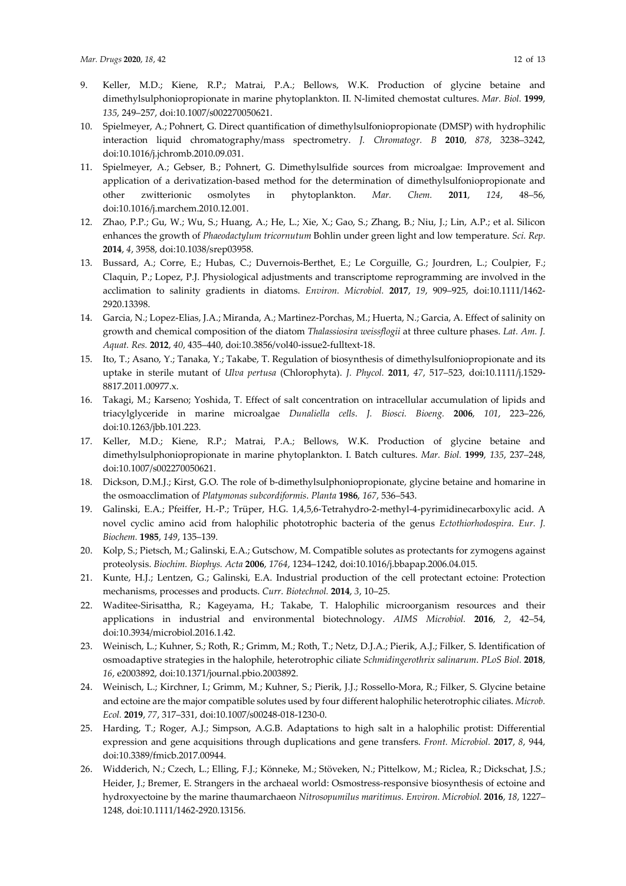- 9. Keller, M.D.; Kiene, R.P.; Matrai, P.A.; Bellows, W.K. Production of glycine betaine and dimethylsulphoniopropionate in marine phytoplankton. II. N-limited chemostat cultures. *Mar. Biol.* **1999**, *135*, 249–257, doi:10.1007/s002270050621.
- 10. Spielmeyer, A.; Pohnert, G. Direct quantification of dimethylsulfoniopropionate (DMSP) with hydrophilic interaction liquid chromatography/mass spectrometry. *J. Chromatogr. B* **2010**, *878*, 3238–3242, doi:10.1016/j.jchromb.2010.09.031.
- 11. Spielmeyer, A.; Gebser, B.; Pohnert, G. Dimethylsulfide sources from microalgae: Improvement and application of a derivatization-based method for the determination of dimethylsulfoniopropionate and other zwitterionic osmolytes in phytoplankton. *Mar. Chem.* **2011**, *124*, 48–56, doi:10.1016/j.marchem.2010.12.001.
- 12. Zhao, P.P.; Gu, W.; Wu, S.; Huang, A.; He, L.; Xie, X.; Gao, S.; Zhang, B.; Niu, J.; Lin, A.P.; et al. Silicon enhances the growth of *Phaeodactylum tricornutum* Bohlin under green light and low temperature. *Sci. Rep.*  **2014**, *4*, 3958, doi:10.1038/srep03958.
- 13. Bussard, A.; Corre, E.; Hubas, C.; Duvernois-Berthet, E.; Le Corguille, G.; Jourdren, L.; Coulpier, F.; Claquin, P.; Lopez, P.J. Physiological adjustments and transcriptome reprogramming are involved in the acclimation to salinity gradients in diatoms. *Environ. Microbiol.* **2017**, *19*, 909–925, doi:10.1111/1462- 2920.13398.
- 14. Garcia, N.; Lopez-Elias, J.A.; Miranda, A.; Martinez-Porchas, M.; Huerta, N.; Garcia, A. Effect of salinity on growth and chemical composition of the diatom *Thalassiosira weissflogii* at three culture phases. *Lat. Am. J. Aquat. Res.* **2012**, *40*, 435–440, doi:10.3856/vol40-issue2-fulltext-18.
- 15. Ito, T.; Asano, Y.; Tanaka, Y.; Takabe, T. Regulation of biosynthesis of dimethylsulfoniopropionate and its uptake in sterile mutant of *Ulva pertusa* (Chlorophyta). *J. Phycol.* **2011**, *47*, 517–523, doi:10.1111/j.1529- 8817.2011.00977.x.
- 16. Takagi, M.; Karseno; Yoshida, T. Effect of salt concentration on intracellular accumulation of lipids and triacylglyceride in marine microalgae *Dunaliella cells*. *J. Biosci. Bioeng.* **2006**, *101*, 223–226, doi:10.1263/jbb.101.223.
- 17. Keller, M.D.; Kiene, R.P.; Matrai, P.A.; Bellows, W.K. Production of glycine betaine and dimethylsulphoniopropionate in marine phytoplankton. I. Batch cultures. *Mar. Biol.* **1999**, *135*, 237–248, doi:10.1007/s002270050621.
- 18. Dickson, D.M.J.; Kirst, G.O. The role of b-dimethylsulphoniopropionate, glycine betaine and homarine in the osmoacclimation of *Platymonas subcordiformis*. *Planta* **1986**, *167*, 536–543.
- 19. Galinski, E.A.; Pfeiffer, H.-P.; Trüper, H.G. 1,4,5,6-Tetrahydro-2-methyl-4-pyrimidinecarboxylic acid. A novel cyclic amino acid from halophilic phototrophic bacteria of the genus *Ectothiorhodospira*. *Eur. J. Biochem.* **1985**, *149*, 135–139.
- 20. Kolp, S.; Pietsch, M.; Galinski, E.A.; Gutschow, M. Compatible solutes as protectants for zymogens against proteolysis. *Biochim. Biophys. Acta* **2006**, *1764*, 1234–1242, doi:10.1016/j.bbapap.2006.04.015.
- 21. Kunte, H.J.; Lentzen, G.; Galinski, E.A. Industrial production of the cell protectant ectoine: Protection mechanisms, processes and products. *Curr. Biotechnol.* **2014**, *3*, 10–25.
- 22. Waditee-Sirisattha, R.; Kageyama, H.; Takabe, T. Halophilic microorganism resources and their applications in industrial and environmental biotechnology. *AIMS Microbiol.* **2016**, *2*, 42–54, doi:10.3934/microbiol.2016.1.42.
- 23. Weinisch, L.; Kuhner, S.; Roth, R.; Grimm, M.; Roth, T.; Netz, D.J.A.; Pierik, A.J.; Filker, S. Identification of osmoadaptive strategies in the halophile, heterotrophic ciliate *Schmidingerothrix salinarum*. *PLoS Biol.* **2018**, *16*, e2003892, doi:10.1371/journal.pbio.2003892.
- 24. Weinisch, L.; Kirchner, I.; Grimm, M.; Kuhner, S.; Pierik, J.J.; Rossello-Mora, R.; Filker, S. Glycine betaine and ectoine are the major compatible solutes used by four different halophilic heterotrophic ciliates. *Microb. Ecol.* **2019**, *77*, 317–331, doi:10.1007/s00248-018-1230-0.
- 25. Harding, T.; Roger, A.J.; Simpson, A.G.B. Adaptations to high salt in a halophilic protist: Differential expression and gene acquisitions through duplications and gene transfers. *Front. Microbiol.* **2017**, *8*, 944, doi:10.3389/fmicb.2017.00944.
- 26. Widderich, N.; Czech, L.; Elling, F.J.; Könneke, M.; Stöveken, N.; Pittelkow, M.; Riclea, R.; Dickschat, J.S.; Heider, J.; Bremer, E. Strangers in the archaeal world: Osmostress-responsive biosynthesis of ectoine and hydroxyectoine by the marine thaumarchaeon *Nitrosopumilus maritimus*. *Environ. Microbiol.* **2016**, *18*, 1227– 1248, doi:10.1111/1462-2920.13156.